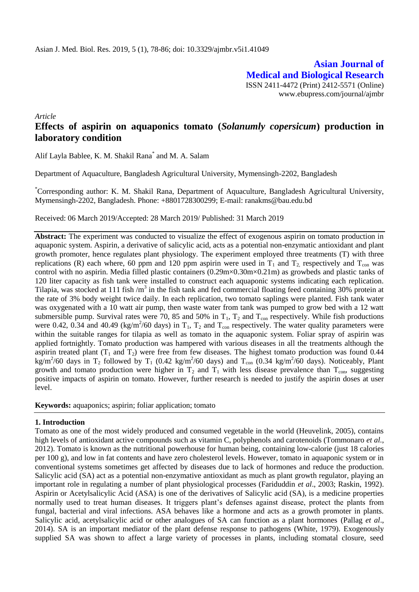**Asian Journal of Medical and Biological Research** ISSN 2411-4472 (Print) 2412-5571 (Online) www.ebupress.com/journal/ajmbr

*Article*

# **Effects of aspirin on aquaponics tomato (***Solanumly copersicum***) production in laboratory condition**

Alif Layla Bablee, K. M. Shakil Rana\* and M. A. Salam

Department of Aquaculture, Bangladesh Agricultural University, Mymensingh-2202, Bangladesh

\*Corresponding author: K. M. Shakil Rana, Department of Aquaculture, Bangladesh Agricultural University, Mymensingh-2202, Bangladesh. Phone: +8801728300299; E-mail: [ranakms@bau.edu.bd](mailto:ranakms@bau.edu.bd)

Received: 06 March 2019/Accepted: 28 March 2019/ Published: 31 March 2019

**Abstract:** The experiment was conducted to visualize the effect of exogenous aspirin on tomato production in aquaponic system. Aspirin, a derivative of salicylic acid, acts as a potential non-enzymatic antioxidant and plant growth promoter, hence regulates plant physiology. The experiment employed three treatments (T) with three replications (R) each where, 60 ppm and 120 ppm aspirin were used in  $T_1$  and  $T_2$  respectively and  $T_{con}$  was control with no aspirin. Media filled plastic containers (0.29m×0.30m×0.21m) as growbeds and plastic tanks of 120 liter capacity as fish tank were installed to construct each aquaponic systems indicating each replication. Tilapia, was stocked at 111 fish  $/m^3$  in the fish tank and fed commercial floating feed containing 30% protein at the rate of 3% body weight twice daily. In each replication, two tomato saplings were planted. Fish tank water was oxygenated with a 10 watt air pump, then waste water from tank was pumped to grow bed with a 12 watt submersible pump. Survival rates were 70, 85 and 50% in  $T_1$ ,  $T_2$  and  $T_{con}$  respectively. While fish productions were 0.42, 0.34 and 40.49 (kg/m<sup>2</sup>/60 days) in  $T_1$ ,  $T_2$  and  $T_{con}$  respectively. The water quality parameters were within the suitable ranges for tilapia as well as tomato in the aquaponic system. Foliar spray of aspirin was applied fortnightly. Tomato production was hampered with various diseases in all the treatments although the aspirin treated plant  $(T_1$  and  $T_2)$  were free from few diseases. The highest tomato production was found 0.44  $\text{kg/m}^2$ /60 days in T<sub>2</sub> followed by T<sub>1</sub> (0.42 kg/m<sup>2</sup>/60 days) and T<sub>con</sub> (0.34 kg/m<sup>2</sup>/60 days). Noticeably, Plant growth and tomato production were higher in  $T_2$  and  $T_1$  with less disease prevalence than  $T_{con}$ , suggesting positive impacts of aspirin on tomato. However, further research is needed to justify the aspirin doses at user level.

**Keywords:** aquaponics; aspirin; foliar application; tomato

### **1. Introduction**

Tomato as one of the most widely produced and consumed vegetable in the world (Heuvelink, 2005), contains high levels of antioxidant active compounds such as vitamin C, polyphenols and carotenoids (Tommonaro *et al.*, 2012). Tomato is known as the nutritional powerhouse for human being, containing low-calorie (just 18 calories per 100 g), and low in fat contents and have zero cholesterol levels. However, tomato in aquaponic system or in conventional systems sometimes get affected by diseases due to lack of hormones and reduce the production. Salicylic acid (SA) act as a potential non-enzymative antioxidant as much as plant growth regulator, playing an important role in regulating a number of plant physiological processes (Fariduddin *et al*., 2003; Raskin, 1992). Aspirin or Acetylsalicylic Acid (ASA) is one of the derivatives of Salicylic acid (SA), is a medicine properties normally used to treat human diseases. It triggers plant's defenses against disease, protect the plants from fungal, bacterial and viral infections. ASA behaves like a hormone and acts as a growth promoter in plants. Salicylic acid, acetylsalicylic acid or other analogues of SA can function as a plant hormones (Pallag *et al*., 2014). SA is an important mediator of the plant defense response to pathogens (White, 1979). Exogenously supplied SA was shown to affect a large variety of processes in plants, including stomatal closure, seed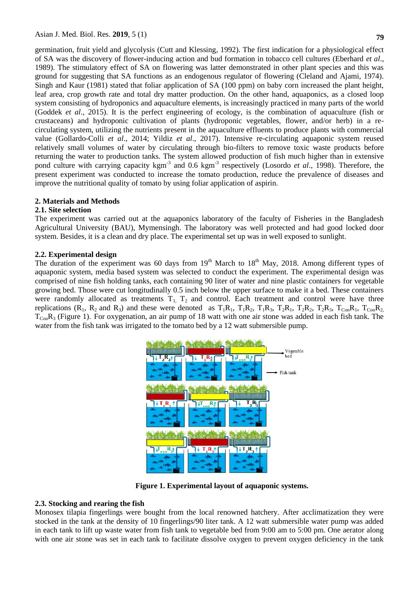germination, fruit yield and glycolysis (Cutt and Klessing*,* 1992). The first indication for a physiological effect of SA was the discovery of flower-inducing action and bud formation in tobacco cell cultures (Eberhard *et al*., 1989). The stimulatory effect of SA on flowering was latter demonstrated in other plant species and this was ground for suggesting that SA functions as an endogenous regulator of flowering (Cleland and Ajami, 1974). Singh and Kaur (1981) stated that foliar application of SA (100 ppm) on baby corn increased the plant height, leaf area, crop growth rate and total dry matter production. On the other hand, aquaponics, as a closed loop system consisting of hydroponics and aquaculture elements, is increasingly practiced in many parts of the world (Goddek *et al*., 2015). It is the perfect engineering of ecology, is the combination of aquaculture (fish or crustaceans) and hydroponic cultivation of plants (hydroponic vegetables, flower, and/or herb) in a recirculating system, utilizing the nutrients present in the aquaculture effluents to produce plants with commercial value (Gollardo-Colli *et al*., 2014; Yildiz *et al*., 2017). Intensive re-circulating aquaponic system reused relatively small volumes of water by circulating through bio-filters to remove toxic waste products before returning the water to production tanks. The system allowed production of fish much higher than in extensive pond culture with carrying capacity kgm<sup>-3</sup> and 0.6 kgm<sup>-3</sup> respectively (Losordo *et al.*, 1998). Therefore, the present experiment was conducted to increase the tomato production, reduce the prevalence of diseases and improve the nutritional quality of tomato by using foliar application of aspirin.

### **2. Materials and Methods**

#### **2.1. Site selection**

The experiment was carried out at the aquaponics laboratory of the faculty of Fisheries in the Bangladesh Agricultural University (BAU), Mymensingh. The laboratory was well protected and had good locked door system. Besides, it is a clean and dry place. The experimental set up was in well exposed to sunlight.

#### **2.2. Experimental design**

The duration of the experiment was 60 days from 19<sup>th</sup> March to 18<sup>th</sup> May, 2018. Among different types of aquaponic system, media based system was selected to conduct the experiment. The experimental design was comprised of nine fish holding tanks, each containing 90 liter of water and nine plastic containers for vegetable growing bed. Those were cut longitudinally 0.5 inch below the upper surface to make it a bed. These containers were randomly allocated as treatments  $T_1$ ,  $T_2$  and control. Each treatment and control were have three replications  $(R_1, R_2 \text{ and } R_3)$  and these were denoted as  $T_1R_1$ ,  $T_1R_2$ ,  $T_1R_3$ ,  $T_2R_1$ ,  $T_2R_2$ ,  $T_2R_3$ ,  $T_{Con}R_1$ ,  $T_{Con}R_2$ ,  $T_{Con}R_3$  (Figure 1). For oxygenation, an air pump of 18 watt with one air stone was added in each fish tank. The water from the fish tank was irrigated to the tomato bed by a 12 watt submersible pump.



**Figure 1. Experimental layout of aquaponic systems.**

### **2.3. Stocking and rearing the fish**

Monosex tilapia fingerlings were bought from the local renowned hatchery. After acclimatization they were stocked in the tank at the density of 10 fingerlings/90 liter tank. A 12 watt submersible water pump was added in each tank to lift up waste water from fish tank to vegetable bed from 9:00 am to 5:00 pm. One aerator along with one air stone was set in each tank to facilitate dissolve oxygen to prevent oxygen deficiency in the tank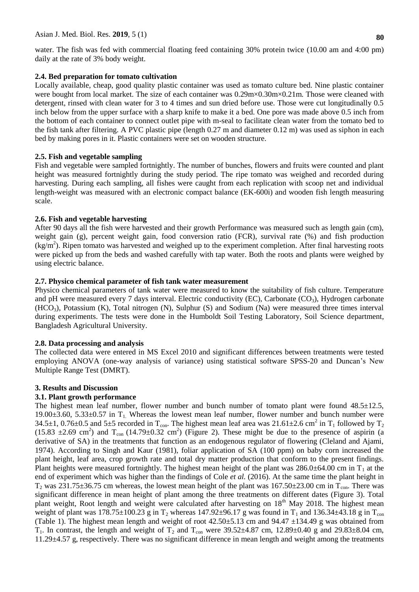water. The fish was fed with commercial floating feed containing 30% protein twice (10.00 am and 4:00 pm) daily at the rate of 3% body weight.

# **2.4. Bed preparation for tomato cultivation**

Locally available, cheap, good quality plastic container was used as tomato culture bed. Nine plastic container were bought from local market. The size of each container was  $0.29 \text{m} \times 0.30 \text{m} \times 0.21 \text{m}$ . Those were cleaned with detergent, rinsed with clean water for 3 to 4 times and sun dried before use. Those were cut longitudinally 0.5 inch below from the upper surface with a sharp knife to make it a bed. One pore was made above 0.5 inch from the bottom of each container to connect outlet pipe with m-seal to facilitate clean water from the tomato bed to the fish tank after filtering. A PVC plastic pipe (length 0.27 m and diameter 0.12 m) was used as siphon in each bed by making pores in it. Plastic containers were set on wooden structure.

# **2.5. Fish and vegetable sampling**

Fish and vegetable were sampled fortnightly. The number of bunches, flowers and fruits were counted and plant height was measured fortnightly during the study period. The ripe tomato was weighed and recorded during harvesting. During each sampling, all fishes were caught from each replication with scoop net and individual length-weight was measured with an electronic compact balance (EK-600i) and wooden fish length measuring scale.

# **2.6. Fish and vegetable harvesting**

After 90 days all the fish were harvested and their growth Performance was measured such as length gain (cm), weight gain (g), percent weight gain, food conversion ratio (FCR), survival rate (%) and fish production  $(kg/m<sup>2</sup>)$ . Ripen tomato was harvested and weighed up to the experiment completion. After final harvesting roots were picked up from the beds and washed carefully with tap water. Both the roots and plants were weighed by using electric balance.

# **2.7. Physico chemical parameter of fish tank water measurement**

Physico chemical parameters of tank water were measured to know the suitability of fish culture. Temperature and pH were measured every 7 days interval. Electric conductivity (EC), Carbonate (CO<sub>3</sub>), Hydrogen carbonate  $(HCO<sub>3</sub>)$ , Potassium (K), Total nitrogen (N), Sulphur (S) and Sodium (Na) were measured three times interval during experiments. The tests were done in the Humboldt Soil Testing Laboratory, Soil Science department, Bangladesh Agricultural University.

### **2.8. Data processing and analysis**

The collected data were entered in MS Excel 2010 and significant differences between treatments were tested employing ANOVA (one-way analysis of variance) using statistical software SPSS-20 and Duncan's New Multiple Range Test (DMRT).

### **3. Results and Discussion**

### **3.1. Plant growth performance**

The highest mean leaf number, flower number and bunch number of tomato plant were found  $48.5 \pm 12.5$ , 19.00 $\pm$ 3.60, 5.33 $\pm$ 0.57 in T<sub>1</sub>. Whereas the lowest mean leaf number, flower number and bunch number were 34.5 $\pm$ 1, 0.76 $\pm$ 0.5 and 5 $\pm$ 5 recorded in T<sub>con</sub>. The highest mean leaf area was 21.61 $\pm$ 2.6 cm<sup>2</sup> in T<sub>1</sub> followed by T<sub>2</sub>  $(15.83 \pm 2.69 \text{ cm}^2)$  and T<sub>con</sub>  $(14.79 \pm 0.32 \text{ cm}^2)$  (Figure 2). These might be due to the presence of aspirin (a derivative of SA) in the treatments that function as an endogenous regulator of flowering (Cleland and Ajami, 1974). According to Singh and Kaur (1981), foliar application of SA (100 ppm) on baby corn increased the plant height, leaf area, crop growth rate and total dry matter production that conform to the present findings. Plant heights were measured fortnightly. The highest mean height of the plant was  $286.0\pm64.00$  cm in T<sub>1</sub> at the end of experiment which was higher than the findings of Cole *et al.* (2016). At the same time the plant height in  $T_2$  was 231.75 $\pm$ 36.75 cm whereas, the lowest mean height of the plant was 167.50 $\pm$ 23.00 cm in T<sub>con</sub>. There was significant difference in mean height of plant among the three treatments on different dates (Figure 3). Total plant weight, Root length and weight were calculated after harvesting on 18<sup>th</sup> May 2018. The highest mean weight of plant was 178.75±100.23 g in T<sub>2</sub> whereas 147.92±96.17 g was found in T<sub>1</sub> and 136.34±43.18 g in T<sub>con</sub> (Table 1). The highest mean length and weight of root  $42.50\pm5.13$  cm and  $94.47\pm134.49$  g was obtained from  $T_1$ . In contrast, the length and weight of  $T_2$  and  $T_{con}$  were 39.52±4.87 cm, 12.89±0.40 g and 29.83±8.04 cm, 11.29±4.57 g, respectively. There was no significant difference in mean length and weight among the treatments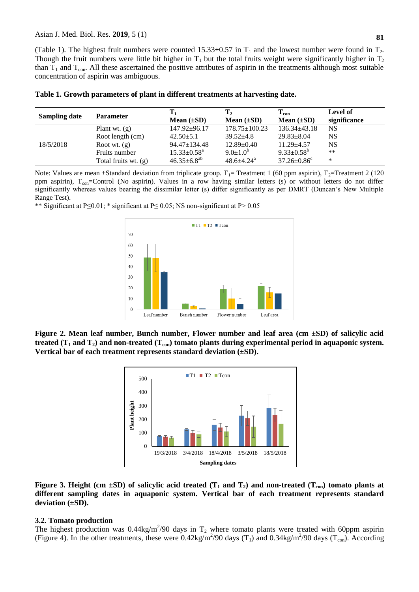(Table 1). The highest fruit numbers were counted  $15.33\pm0.57$  in T<sub>1</sub> and the lowest number were found in T<sub>2</sub>. Though the fruit numbers were little bit higher in  $T_1$  but the total fruits weight were significantly higher in  $T_2$ than  $T_1$  and  $T_{con}$ . All these ascertained the positive attributes of aspirin in the treatments although most suitable concentration of aspirin was ambiguous.

| Sampling date | <b>Parameter</b>       | Mean $(\pm SD)$               | $\mathbf{T}_2$<br>Mean $(\pm SD)$ | $T_{con}$<br>Mean $(\pm SD)$  | Level of<br>significance |
|---------------|------------------------|-------------------------------|-----------------------------------|-------------------------------|--------------------------|
|               | Plant wt. $(g)$        | 147.92±96.17                  | $178.75 \pm 100.23$               | $136.34 \pm 43.18$            | NS                       |
| 18/5/2018     | Root length (cm)       | $42.50 \pm 5.1$               | $39.52 + 4.8$                     | $29.83 \pm 8.04$              | NS                       |
|               | Root wt. $(g)$         | $94.47 \pm 134.48$            | $12.89 \pm 0.40$                  | $11.29 + 4.57$                | <b>NS</b>                |
|               | Fruits number          | $15.33 \pm 0.58$ <sup>a</sup> | $9.0 \pm 1.0^b$                   | $9.33 \pm 0.58^b$             | $***$                    |
|               | Total fruits wt. $(g)$ | $46.35 \pm 6.8$ <sup>ab</sup> | $48.6 + 4.24$ <sup>a</sup>        | $37.26 \pm 0.86$ <sup>c</sup> | ∗                        |

| Table 1. Growth parameters of plant in different treatments at harvesting date. |  |  |
|---------------------------------------------------------------------------------|--|--|
|---------------------------------------------------------------------------------|--|--|

Note: Values are mean  $\pm$ Standard deviation from triplicate group. T<sub>1</sub>= Treatment 1 (60 ppm aspirin), T<sub>2</sub>=Treatment 2 (120 ppm aspirin),  $T_{\text{con}}$ =Control (No aspirin). Values in a row having similar letters (s) or without letters do not differ significantly whereas values bearing the dissimilar letter (s) differ significantly as per DMRT (Duncan's New Multiple Range Test).

\*\* Significant at P≤0.01; \* significant at P≤ 0.05; NS non-significant at P˃ 0.05



**Figure 2. Mean leaf number, Bunch number, Flower number and leaf area (cm ±SD) of salicylic acid treated (T<sup>1</sup> and T2) and non-treated (Tcon) tomato plants during experimental period in aquaponic system. Vertical bar of each treatment represents standard deviation (±SD).**



**Figure 3. Height (cm**  $\pm$ **SD) of salicylic acid treated (T<sub>1</sub> and T<sub>2</sub>) and non-treated (T<sub>con</sub>) tomato plants at different sampling dates in aquaponic system. Vertical bar of each treatment represents standard deviation (±SD).**

#### **3.2. Tomato production**

The highest production was  $0.44 \text{kg/m}^2/90$  days in  $T_2$  where tomato plants were treated with 60ppm aspirin (Figure 4). In the other treatments, these were  $0.42 \text{kg/m}^2/90$  days (T<sub>1</sub>) and  $0.34 \text{kg/m}^2/90$  days (T<sub>con</sub>). According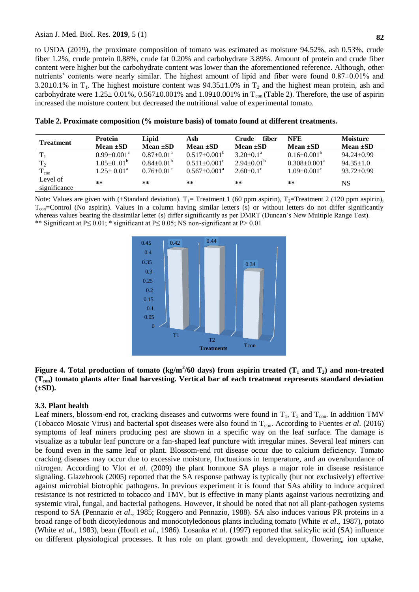to USDA (2019), the proximate composition of tomato was estimated as moisture 94.52%, ash 0.53%, crude fiber 1.2%, crude protein 0.88%, crude fat 0.20% and carbohydrate 3.89%. Amount of protein and crude fiber content were higher but the carbohydrate content was lower than the aforementioned reference. Although, other nutrients' contents were nearly similar. The highest amount of lipid and fiber were found 0.87±0.01% and 3.20 $\pm$ 0.1% in T<sub>1</sub>. The highest moisture content was 94.35 $\pm$ 1.0% in T<sub>2</sub> and the highest mean protein, ash and carbohydrate were  $1.25 \pm 0.01\%$ ,  $0.567 \pm 0.001\%$  and  $1.09 \pm 0.001\%$  in T<sub>con</sub> (Table 2). Therefore, the use of aspirin increased the moisture content but decreased the nutritional value of experimental tomato.

| <b>Treatment</b> | <b>Protein</b>                | Lipid                        | Ash                            | fiber<br>Crude            | <b>NFE</b>                    | <b>Moisture</b>  |
|------------------|-------------------------------|------------------------------|--------------------------------|---------------------------|-------------------------------|------------------|
|                  | Mean $\pm SD$                 | Mean $\pm SD$                | Mean $\pm SD$                  | Mean $\pm SD$             | Mean $\pm SD$                 | Mean $\pm SD$    |
| $T_{1}$          | $0.99 \pm 0.001$ <sup>c</sup> | $0.87 \pm 0.01^{\text{a}}$   | $0.517 \pm 0.001^{\circ}$      | $3.20 \pm 0.1^{\text{a}}$ | $0.16 \pm 0.001^{\circ}$      | $94.24 \pm 0.99$ |
| T <sub>2</sub>   | $1.05 \pm 0.01^b$             | $0.84 \pm 0.01^{\circ}$      | $0.511 \pm 0.001$ <sup>c</sup> | $2.94 \pm 0.01^b$         | $0.308 \pm 0.001^{\text{a}}$  | $94.35 \pm 1.0$  |
| $T_{\rm con}$    | $1.25 \pm 0.01^{\text{a}}$    | $0.76 \pm 0.01$ <sup>c</sup> | $0.567 \pm 0.001$ <sup>a</sup> | $2.60 \pm 0.1$ °          | $1.09 \pm 0.001$ <sup>c</sup> | $93.72 \pm 0.99$ |
| Level of         | **                            | $**$                         | **                             | $***$                     | **                            | <b>NS</b>        |
| significance     |                               |                              |                                |                           |                               |                  |

| Table 2. Proximate composition (% moisture basis) of tomato found at different treatments. |  |  |  |  |
|--------------------------------------------------------------------------------------------|--|--|--|--|
|--------------------------------------------------------------------------------------------|--|--|--|--|

Note: Values are given with ( $\pm$ Standard deviation). T<sub>1</sub>= Treatment 1 (60 ppm aspirin), T<sub>2</sub>=Treatment 2 (120 ppm aspirin),  $T_{\text{con}}$ =Control (No aspirin). Values in a column having similar letters (s) or without letters do not differ significantly whereas values bearing the dissimilar letter (s) differ significantly as per DMRT (Duncan's New Multiple Range Test). \*\* Significant at P $\leq$  0.01; \* significant at P $\leq$  0.05; NS non-significant at P $>$  0.01



## **Figure 4. Total production of tomato (kg/m<sup>2</sup>/60 days) from aspirin treated (T<sub>1</sub> and T<sub>2</sub>) and non-treated (Tcon) tomato plants after final harvesting. Vertical bar of each treatment represents standard deviation (±SD).**

# **3.3. Plant health**

Leaf miners, blossom-end rot, cracking diseases and cutworms were found in  $T_1$ ,  $T_2$  and  $T_{con}$ . In addition TMV (Tobacco Mosaic Virus) and bacterial spot diseases were also found in T<sub>con</sub>. According to Fuentes *et al.* (2016) symptoms of leaf miners producing pest are shown in a specific way on the leaf surface. The damage is visualize as a tubular leaf puncture or a fan-shaped leaf puncture with irregular mines. Several leaf miners can be found even in the same leaf or plant. Blossom-end rot disease occur due to calcium deficiency. Tomato cracking diseases may occur due to excessive moisture, fluctuations in temperature, and an overabundance of nitrogen. According to Vlot *et al.* (2009) the plant hormone SA plays a major role in disease resistance signaling. Glazebrook (2005) reported that the SA response pathway is typically (but not exclusively) effective against microbial biotrophic pathogens. In previous experiment it is found that SAs ability to induce acquired resistance is not restricted to tobacco and TMV, but is effective in many plants against various necrotizing and systemic viral, fungal, and bacterial pathogens. However, it should be noted that not all plant-pathogen systems respond to SA (Pennazio *et al*., 1985; Roggero and Pennazio, 1988). SA also induces various PR proteins in a broad range of both dicotyledonous and monocotyledonous plants including tomato (White *et al*., 1987), potato (White *et al*., 1983), bean (Hooft *et al*., 1986). Losanka *et al*. (1997) reported that salicylic acid (SA) influence on different physiological processes. It has role on plant growth and development, flowering, ion uptake,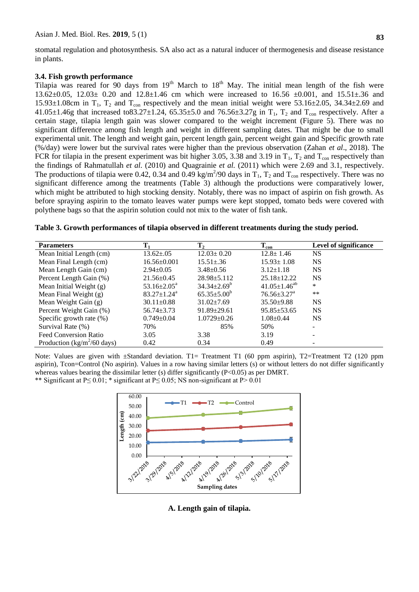**83**

stomatal regulation and photosynthesis. SA also act as a natural inducer of thermogenesis and disease resistance in plants.

#### **3.4. Fish growth performance**

Tilapia was reared for 90 days from  $19<sup>th</sup>$  March to  $18<sup>th</sup>$  May. The initial mean length of the fish were 13.62±0.05, 12.03± 0.20 and 12.8±1.46 cm which were increased to 16.56 ±0.001, and 15.51±.36 and 15.93 $\pm$ 1.08cm in T<sub>1</sub>, T<sub>2</sub> and T<sub>con</sub> respectively and the mean initial weight were 53.16 $\pm$ 2.05, 34.34 $\pm$ 2.69 and 41.05±1.46g that increased to83.27±1.24, 65.35±5.0 and 76.56±3.27g in  $T_1$ ,  $T_2$  and  $T_{\text{con}}$  respectively. After a certain stage, tilapia length gain was slower compared to the weight increment (Figure 5). There was no significant difference among fish length and weight in different sampling dates. That might be due to small experimental unit. The length and weight gain, percent length gain, percent weight gain and Specific growth rate (%/day) were lower but the survival rates were higher than the previous observation (Zahan *et al*., 2018). The FCR for tilapia in the present experiment was bit higher 3.05, 3.38 and 3.19 in  $T_1$ ,  $T_2$  and  $T_{con}$  respectively than the findings of Rahmatullah *et al.* (2010) and Quagrainie *et al.* (2011) which were 2.69 and 3.1, respectively. The productions of tilapia were 0.42, 0.34 and 0.49 kg/m<sup>2</sup>/90 days in  $T_1$ ,  $T_2$  and  $T_{con}$  respectively. There was no significant difference among the treatments (Table 3) although the productions were comparatively lower, which might be attributed to high stocking density. Notably, there was no impact of aspirin on fish growth. As before spraying aspirin to the tomato leaves water pumps were kept stopped, tomato beds were covered with polythene bags so that the aspirin solution could not mix to the water of fish tank.

| Table 3. Growth performances of tilapia observed in different treatments during the study period. |  |
|---------------------------------------------------------------------------------------------------|--|
|---------------------------------------------------------------------------------------------------|--|

| <b>Parameters</b>                              | $T_1$                       | $\mathbf{T}_2$     | $T_{con}$                     | <b>Level of significance</b> |
|------------------------------------------------|-----------------------------|--------------------|-------------------------------|------------------------------|
| Mean Initial Length (cm)                       | $13.62 \pm .05$             | $12.03 \pm 0.20$   | $12.8 \pm 1.46$               | <b>NS</b>                    |
| Mean Final Length (cm)                         | $16.56 \pm 0.001$           | $15.51 \pm .36$    | $15.93 \pm 1.08$              | <b>NS</b>                    |
| Mean Length Gain (cm)                          | $2.94 \pm 0.05$             | $3.48 \pm 0.56$    | $3.12 \pm 1.18$               | <b>NS</b>                    |
| Percent Length Gain (%)                        | $21.56 \pm 0.45$            | $28.98 \pm 5.112$  | $25.18 \pm 12.22$             | <b>NS</b>                    |
| Mean Initial Weight (g)                        | $53.16 \pm 2.05^{\text{a}}$ | $34.34 \pm 2.69^b$ | $41.05 \pm 1.46^{ab}$         | *                            |
| Mean Final Weight (g)                          | $83.27 \pm 1.24^{\text{a}}$ | $65.35 \pm 5.00^b$ | $76.56 \pm 3.27$ <sup>a</sup> | $***$                        |
| Mean Weight Gain (g)                           | $30.11 \pm 0.88$            | $31.02 \pm 7.69$   | $35.50 \pm 9.88$              | <b>NS</b>                    |
| Percent Weight Gain (%)                        | $56.74 \pm 3.73$            | $91.89 \pm 29.61$  | $95.85 \pm 53.65$             | <b>NS</b>                    |
| Specific growth rate $(\%)$                    | $0.749 \pm 0.04$            | $1.0729 \pm 0.26$  | $1.08 \pm 0.44$               | <b>NS</b>                    |
| Survival Rate (%)                              | 70%                         | 85%                | 50%                           |                              |
| <b>Feed Conversion Ratio</b>                   | 3.05                        | 3.38               | 3.19                          |                              |
| Production ( $\text{kg/m}^2/60 \text{ days}$ ) | 0.42                        | 0.34               | 0.49                          |                              |

Note: Values are given with  $\pm$ Standard deviation. T1= Treatment T1 (60 ppm aspirin), T2=Treatment T2 (120 ppm aspirin), Tcon=Control (No aspirin). Values in a row having similar letters (s) or without letters do not differ significantly whereas values bearing the dissimilar letter (s) differ significantly (P<0.05) as per DMRT.

\*\* Significant at P $\leq$  0.01; \* significant at P $\leq$  0.05; NS non-significant at P $>$  0.01



**A. Length gain of tilapia.**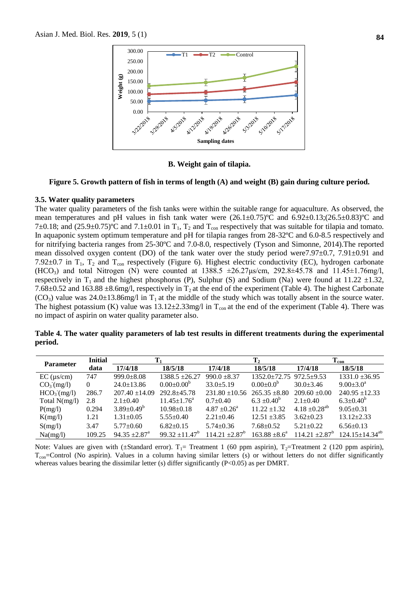

**B. Weight gain of tilapia.**

#### **Figure 5. Growth pattern of fish in terms of length (A) and weight (B) gain during culture period.**

#### **3.5. Water quality parameters**

The water quality parameters of the fish tanks were within the suitable range for aquaculture. As observed, the mean temperatures and pH values in fish tank water were  $(26.1\pm0.75)$ °C and  $6.92\pm0.13$ ; $(26.5\pm0.83)$ °C and 7 $\pm$ 0.18; and (25.9 $\pm$ 0.75)°C and 7.1 $\pm$ 0.01 in T<sub>1</sub>, T<sub>2</sub> and T<sub>con</sub> respectively that was suitable for tilapia and tomato. In aquaponic system optimum temperature and pH for tilapia ranges from 28-32ºC and 6.0-8.5 respectively and for nitrifying bacteria ranges from 25-30ºC and 7.0-8.0, respectively (Tyson and Simonne, 2014).The reported mean dissolved oxygen content (DO) of the tank water over the study period were 7.97 $\pm$ 0.7, 7.91 $\pm$ 0.91 and 7.92 $\pm$ 0.7 in T<sub>1</sub>, T<sub>2</sub> and T<sub>con</sub> respectively (Figure 6). Highest electric conductivity (EC), hydrogen carbonate (HCO<sub>3</sub>) and total Nitrogen (N) were counted at  $1388.5 \pm 26.27 \mu s/cm$ ,  $292.8 \pm 45.78$  and  $11.45 \pm 1.76$ mg/l, respectively in T<sub>1</sub> and the highest phosphorus (P), Sulphur (S) and Sodium (Na) were found at 11.22  $\pm$ 1.32, 7.68 $\pm$ 0.52 and 163.88  $\pm$ 8.6mg/l, respectively in T<sub>2</sub> at the end of the experiment (Table 4). The highest Carbonate  $(CO_3)$  value was 24.0 $\pm$ 13.86mg/l in T<sub>1</sub> at the middle of the study which was totally absent in the source water. The highest potassium (K) value was  $13.12 \pm 2.33$  mg/l in T<sub>con</sub> at the end of the experiment (Table 4). There was no impact of aspirin on water quality parameter also.

|         |  | Table 4. The water quality parameters of lab test results in different treatments during the experimental |  |  |  |  |
|---------|--|-----------------------------------------------------------------------------------------------------------|--|--|--|--|
| period. |  |                                                                                                           |  |  |  |  |

| <b>Parameter</b>        | <b>Initial</b> | $\mathbf{T}_1$              |                          | $\mathbf{T}_2$                 |                         | $T_{con}$                     |                         |
|-------------------------|----------------|-----------------------------|--------------------------|--------------------------------|-------------------------|-------------------------------|-------------------------|
|                         | data           | 17/4/18                     | 18/5/18                  | 17/4/18                        | 18/5/18                 | 17/4/18                       | 18/5/18                 |
| $EC$ ( $\mu s/cm$ )     | 747            | $999.0 + 8.08$              | $1388.5 \pm 26.27$       | $990.0 \pm 8.37$               | 1352.0±72.75 972.5±9.53 |                               | $1331.0 \pm 36.95$      |
| CO <sub>3</sub> (mg/l)  | 0              | $24.0 \pm 13.86$            | $0.00 \pm 0.00^b$        | $33.0 + 5.19$                  | $0.00 \pm 0.0^b$        | $30.0 \pm 3.46$               | $9.00 \pm 3.0^{\circ}$  |
| HCO <sub>3</sub> (mg/l) | 286.7          | $207.40 \pm 14.09$          | $292.8 + 45.78$          | $231.80 \pm 10.56$             | $265.35 \pm 8.80$       | $209.60 \pm 0.00$             | $240.95 \pm 12.33$      |
| Total $N(mg/l)$         | 2.8            | $2.1 \pm 0.40$              | $11.45 \pm 1.76^{\circ}$ | $0.7+0.40$                     | $6.3 \pm 0.40^b$        | $2.1 \pm 0.40$                | $6.3 \pm 0.40^b$        |
| P(mg/l)                 | 0.294          | $3.89 \pm 0.49^b$           | $10.98 \pm 0.18$         | $4.87 \pm 0.26^{\circ}$        | $11.22 \pm 1.32$        | $4.18 \pm 0.28$ <sup>ab</sup> | $9.05 \pm 0.31$         |
| K(mg/l)                 | 1.21           | $1.31 \pm 0.05$             | $5.55 \pm 0.40$          | $2.21 \pm 0.46$                | $12.51 \pm 3.85$        | $3.62 \pm 0.23$               | $13.12 \pm 2.33$        |
| S(mg/l)                 | 3.47           | $5.77 \pm 0.60$             | $6.82+0.15$              | $5.74 \pm 0.36$                | $7.68 \pm 0.52$         | $5.21 \pm 0.22$               | $6.56 \pm 0.13$         |
| Na(mg/l)                | 109.25         | $94.35 + 2.87$ <sup>a</sup> | $99.32 \pm 11.47^b$      | $114.21 \pm 2.87$ <sup>b</sup> | $163.88 \pm 8.6^a$      | $114.21 \pm 2.87^b$           | $124.15 \pm 14.34^{ab}$ |

Note: Values are given with ( $\pm$ Standard error). T<sub>1</sub>= Treatment 1 (60 ppm aspirin), T<sub>2</sub>=Treatment 2 (120 ppm aspirin),  $T_{\rm con}$ =Control (No aspirin). Values in a column having similar letters (s) or without letters do not differ significantly whereas values bearing the dissimilar letter (s) differ significantly  $(P<0.05)$  as per DMRT.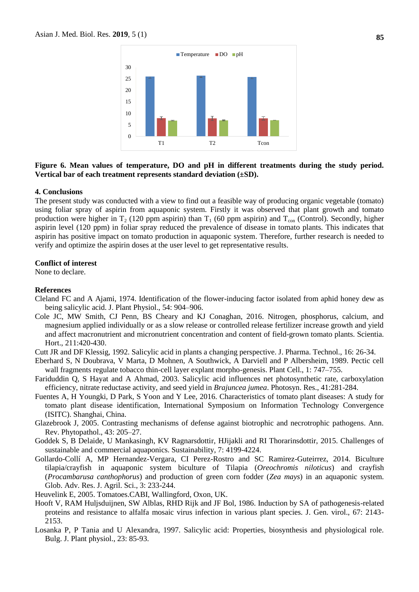

### **Figure 6. Mean values of temperature, DO and pH in different treatments during the study period. Vertical bar of each treatment represents standard deviation (±SD).**

#### **4. Conclusions**

The present study was conducted with a view to find out a feasible way of producing organic vegetable (tomato) using foliar spray of aspirin from aquaponic system. Firstly it was observed that plant growth and tomato production were higher in  $T_2$  (120 ppm aspirin) than  $T_1$  (60 ppm aspirin) and  $T_{\text{con}}$  (Control). Secondly, higher aspirin level (120 ppm) in foliar spray reduced the prevalence of disease in tomato plants. This indicates that aspirin has positive impact on tomato production in aquaponic system. Therefore, further research is needed to verify and optimize the aspirin doses at the user level to get representative results.

#### **Conflict of interest**

None to declare.

#### **References**

- Cleland FC and A Ajami, 1974. Identification of the flower-inducing factor isolated from aphid honey dew as being salicylic acid. J. Plant Physiol., 54: 904–906.
- Cole JC, MW Smith, CJ Penn, BS Cheary and KJ Conaghan, 2016. Nitrogen, phosphorus, calcium, and magnesium applied individually or as a slow release or controlled release fertilizer increase growth and yield and affect macronutrient and micronutrient concentration and content of field-grown tomato plants. Scientia. Hort., 211:420-430.
- Cutt JR and DF Klessig, 1992. Salicylic acid in plants a changing perspective. J. Pharma. Technol., 16: 26-34.
- Eberhard S, N Doubrava, V Marta, D Mohnen, A Southwick, A Darviell and P Albersheim, 1989. Pectic cell wall fragments regulate tobacco thin-cell layer explant morpho-genesis. Plant Cell., 1: 747–755.
- Fariduddin Q, S Hayat and A Ahmad, 2003. Salicylic acid influences net photosynthetic rate, carboxylation efficiency, nitrate reductase activity, and seed yield in *Brajuncea jumea*. Photosyn. Res., 41:281-284.
- Fuentes A, H Youngki, D Park, S Yoon and Y Lee, 2016. Characteristics of tomato plant diseases: A study for tomato plant disease identification, International Symposium on Information Technology Convergence (ISITC). Shanghai, China.
- Glazebrook J, 2005. Contrasting mechanisms of defense against biotrophic and necrotrophic pathogens. Ann. Rev. Phytopathol., 43: 205–27.
- Goddek S, B Delaide, U Mankasingh, KV Ragnarsdottir, HJijakli and RI Thorarinsdottir, 2015. Challenges of sustainable and commercial aquaponics. Sustainability, 7: 4199-4224.
- Gollardo-Collí A, MP Hernandez-Vergara, CI Perez-Rostro and SC Ramirez-Guteirrez, 2014. Biculture tilapia/crayfish in aquaponic system biculture of Tilapia (*Oreochromis niloticus*) and crayfish (*Procambarusa canthophorus*) and production of green corn fodder (*Zea mays*) in an aquaponic system. Glob. Adv. Res. J. Agril. Sci., 3: 233-244.
- Heuvelink E, 2005. Tomatoes.CABI, Wallingford, Oxon, UK.
- Hooft V, RAM Huljsduijnen, SW Alblas, RHD Rijk and JF Bol, 1986. Induction by SA of pathogenesis-related proteins and resistance to alfalfa mosaic virus infection in various plant species. J. Gen. virol., 67: 2143- 2153.
- Losanka P, P Tania and U Alexandra, 1997. Salicylic acid: Properties, biosynthesis and physiological role. Bulg. J. Plant physiol., 23: 85-93.